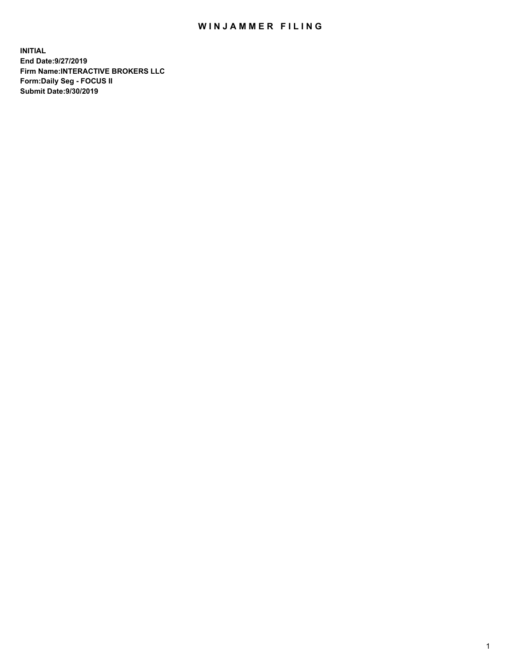## WIN JAMMER FILING

**INITIAL End Date:9/27/2019 Firm Name:INTERACTIVE BROKERS LLC Form:Daily Seg - FOCUS II Submit Date:9/30/2019**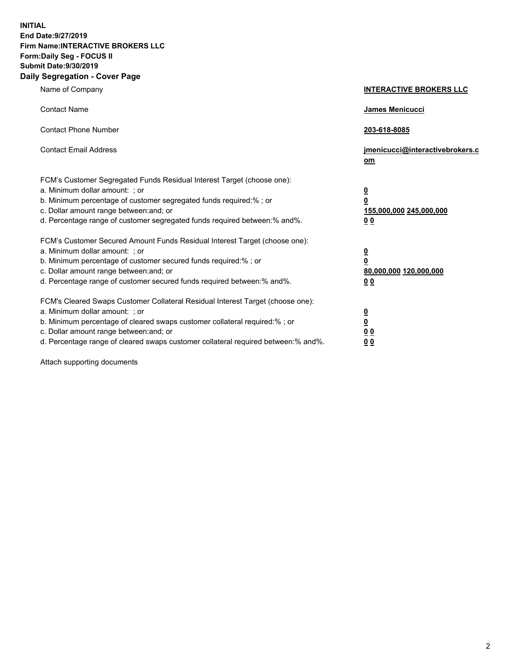**INITIAL End Date:9/27/2019 Firm Name:INTERACTIVE BROKERS LLC Form:Daily Seg - FOCUS II Submit Date:9/30/2019 Daily Segregation - Cover Page**

| Name of Company                                                                                                                                                                                                                                                                                                                | <b>INTERACTIVE BROKERS LLC</b>                                                   |
|--------------------------------------------------------------------------------------------------------------------------------------------------------------------------------------------------------------------------------------------------------------------------------------------------------------------------------|----------------------------------------------------------------------------------|
| <b>Contact Name</b>                                                                                                                                                                                                                                                                                                            | James Menicucci                                                                  |
| <b>Contact Phone Number</b>                                                                                                                                                                                                                                                                                                    | 203-618-8085                                                                     |
| <b>Contact Email Address</b>                                                                                                                                                                                                                                                                                                   | jmenicucci@interactivebrokers.c<br>om                                            |
| FCM's Customer Segregated Funds Residual Interest Target (choose one):<br>a. Minimum dollar amount: ; or<br>b. Minimum percentage of customer segregated funds required:% ; or<br>c. Dollar amount range between: and; or<br>d. Percentage range of customer segregated funds required between:% and%.                         | <u>0</u><br>$\overline{\mathbf{0}}$<br>155,000,000 245,000,000<br>0 <sub>0</sub> |
| FCM's Customer Secured Amount Funds Residual Interest Target (choose one):<br>a. Minimum dollar amount: ; or<br>b. Minimum percentage of customer secured funds required:% ; or<br>c. Dollar amount range between: and; or<br>d. Percentage range of customer secured funds required between:% and%.                           | <u>0</u><br>$\overline{\mathbf{0}}$<br>80,000,000 120,000,000<br>0 <sub>0</sub>  |
| FCM's Cleared Swaps Customer Collateral Residual Interest Target (choose one):<br>a. Minimum dollar amount: ; or<br>b. Minimum percentage of cleared swaps customer collateral required:% ; or<br>c. Dollar amount range between: and; or<br>d. Percentage range of cleared swaps customer collateral required between:% and%. | <u>0</u><br>$\underline{\mathbf{0}}$<br>0 <sub>0</sub><br>0 <sub>0</sub>         |

Attach supporting documents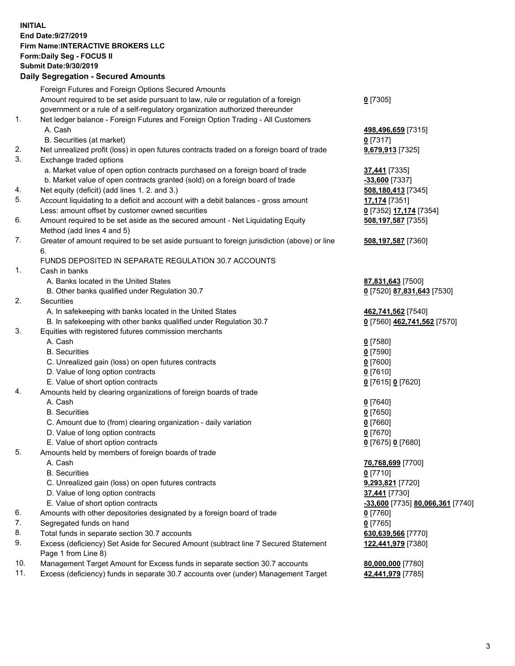## **INITIAL End Date:9/27/2019 Firm Name:INTERACTIVE BROKERS LLC Form:Daily Seg - FOCUS II Submit Date:9/30/2019 Daily Segregation - Secured Amounts**

|     | Daily Ocglegation - Occured Anioants                                                        |                                  |
|-----|---------------------------------------------------------------------------------------------|----------------------------------|
|     | Foreign Futures and Foreign Options Secured Amounts                                         |                                  |
|     | Amount required to be set aside pursuant to law, rule or regulation of a foreign            | $0$ [7305]                       |
|     | government or a rule of a self-regulatory organization authorized thereunder                |                                  |
| 1.  | Net ledger balance - Foreign Futures and Foreign Option Trading - All Customers             |                                  |
|     | A. Cash                                                                                     | 498,496,659 [7315]               |
|     | B. Securities (at market)                                                                   | $0$ [7317]                       |
| 2.  | Net unrealized profit (loss) in open futures contracts traded on a foreign board of trade   | 9,679,913 [7325]                 |
| 3.  | Exchange traded options                                                                     |                                  |
|     | a. Market value of open option contracts purchased on a foreign board of trade              | 37,441 [7335]                    |
|     | b. Market value of open contracts granted (sold) on a foreign board of trade                | -33,600 [7337]                   |
| 4.  | Net equity (deficit) (add lines 1.2. and 3.)                                                | 508,180,413 [7345]               |
| 5.  | Account liquidating to a deficit and account with a debit balances - gross amount           | 17,174 [7351]                    |
|     | Less: amount offset by customer owned securities                                            | 0 [7352] 17,174 [7354]           |
| 6.  | Amount required to be set aside as the secured amount - Net Liquidating Equity              | 508,197,587 [7355]               |
|     | Method (add lines 4 and 5)                                                                  |                                  |
| 7.  | Greater of amount required to be set aside pursuant to foreign jurisdiction (above) or line | 508,197,587 [7360]               |
|     | 6.                                                                                          |                                  |
|     | FUNDS DEPOSITED IN SEPARATE REGULATION 30.7 ACCOUNTS                                        |                                  |
| 1.  | Cash in banks                                                                               |                                  |
|     | A. Banks located in the United States                                                       | 87,831,643 [7500]                |
|     | B. Other banks qualified under Regulation 30.7                                              | 0 [7520] 87,831,643 [7530]       |
| 2.  | Securities                                                                                  |                                  |
|     | A. In safekeeping with banks located in the United States                                   | 462,741,562 [7540]               |
|     | B. In safekeeping with other banks qualified under Regulation 30.7                          | 0 [7560] 462,741,562 [7570]      |
| 3.  | Equities with registered futures commission merchants                                       |                                  |
|     | A. Cash                                                                                     | $0$ [7580]                       |
|     | <b>B.</b> Securities                                                                        | $0$ [7590]                       |
|     | C. Unrealized gain (loss) on open futures contracts                                         | $0$ [7600]                       |
|     | D. Value of long option contracts                                                           | $0$ [7610]                       |
|     | E. Value of short option contracts                                                          | 0 [7615] 0 [7620]                |
| 4.  | Amounts held by clearing organizations of foreign boards of trade                           |                                  |
|     | A. Cash                                                                                     | $0$ [7640]                       |
|     | <b>B.</b> Securities                                                                        | $0$ [7650]                       |
|     | C. Amount due to (from) clearing organization - daily variation                             | $0$ [7660]                       |
|     | D. Value of long option contracts                                                           | $0$ [7670]                       |
|     | E. Value of short option contracts                                                          | 0 [7675] 0 [7680]                |
| 5.  | Amounts held by members of foreign boards of trade                                          |                                  |
|     | A. Cash                                                                                     | 70,768,699 [7700]                |
|     | <b>B.</b> Securities                                                                        | $0$ [7710]                       |
|     | C. Unrealized gain (loss) on open futures contracts                                         | 9,293,821 [7720]                 |
|     | D. Value of long option contracts                                                           | 37,441 [7730]                    |
|     | E. Value of short option contracts                                                          | -33,600 [7735] 80,066,361 [7740] |
| 6.  | Amounts with other depositories designated by a foreign board of trade                      | 0 [7760]                         |
| 7.  | Segregated funds on hand                                                                    | $0$ [7765]                       |
| 8.  | Total funds in separate section 30.7 accounts                                               | 630,639,566 [7770]               |
| 9.  | Excess (deficiency) Set Aside for Secured Amount (subtract line 7 Secured Statement         | 122,441,979 [7380]               |
|     | Page 1 from Line 8)                                                                         |                                  |
| 10. | Management Target Amount for Excess funds in separate section 30.7 accounts                 | 80,000,000 [7780]                |
| 11. | Excess (deficiency) funds in separate 30.7 accounts over (under) Management Target          | 42,441,979 [7785]                |
|     |                                                                                             |                                  |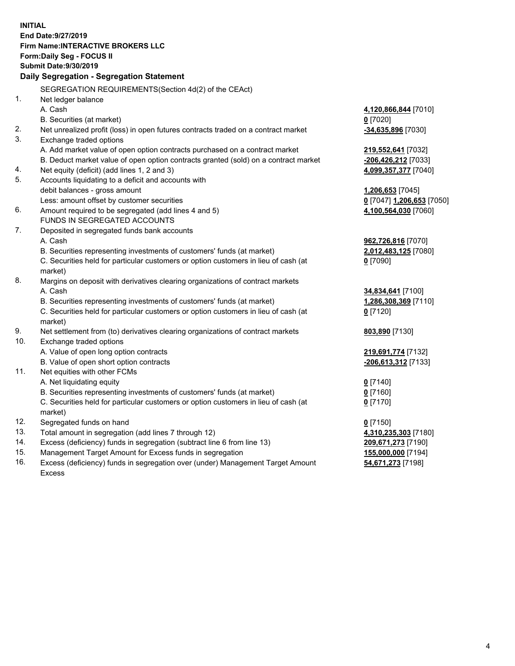**INITIAL End Date:9/27/2019 Firm Name:INTERACTIVE BROKERS LLC Form:Daily Seg - FOCUS II Submit Date:9/30/2019 Daily Segregation - Segregation Statement** SEGREGATION REQUIREMENTS(Section 4d(2) of the CEAct) 1. Net ledger balance A. Cash **4,120,866,844** [7010] B. Securities (at market) **0** [7020] 2. Net unrealized profit (loss) in open futures contracts traded on a contract market **-34,635,896** [7030] 3. Exchange traded options A. Add market value of open option contracts purchased on a contract market **219,552,641** [7032] B. Deduct market value of open option contracts granted (sold) on a contract market **-206,426,212** [7033] 4. Net equity (deficit) (add lines 1, 2 and 3) **4,099,357,377** [7040] 5. Accounts liquidating to a deficit and accounts with debit balances - gross amount **1,206,653** [7045] Less: amount offset by customer securities **0** [7047] **1,206,653** [7050] 6. Amount required to be segregated (add lines 4 and 5) **4,100,564,030** [7060] FUNDS IN SEGREGATED ACCOUNTS 7. Deposited in segregated funds bank accounts A. Cash **962,726,816** [7070] B. Securities representing investments of customers' funds (at market) **2,012,483,125** [7080] C. Securities held for particular customers or option customers in lieu of cash (at market) **0** [7090] 8. Margins on deposit with derivatives clearing organizations of contract markets A. Cash **34,834,641** [7100] B. Securities representing investments of customers' funds (at market) **1,286,308,369** [7110] C. Securities held for particular customers or option customers in lieu of cash (at market) **0** [7120] 9. Net settlement from (to) derivatives clearing organizations of contract markets **803,890** [7130] 10. Exchange traded options A. Value of open long option contracts **219,691,774** [7132] B. Value of open short option contracts **-206,613,312** [7133] 11. Net equities with other FCMs A. Net liquidating equity **0** [7140] B. Securities representing investments of customers' funds (at market) **0** [7160] C. Securities held for particular customers or option customers in lieu of cash (at market) **0** [7170] 12. Segregated funds on hand **0** [7150] 13. Total amount in segregation (add lines 7 through 12) **4,310,235,303** [7180] 14. Excess (deficiency) funds in segregation (subtract line 6 from line 13) **209,671,273** [7190] 15. Management Target Amount for Excess funds in segregation **155,000,000** [7194]

16. Excess (deficiency) funds in segregation over (under) Management Target Amount Excess

**54,671,273** [7198]